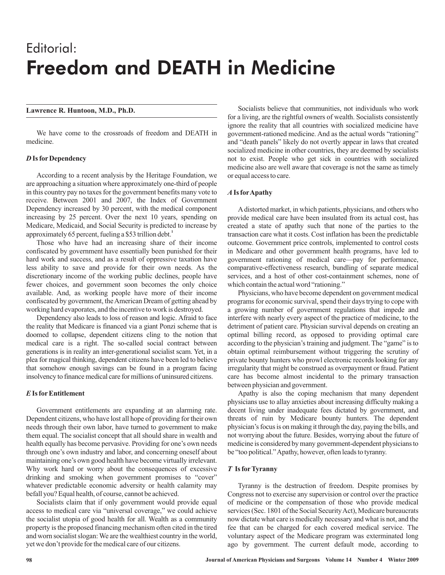# Editorial: Freedom and DEATH in Medicine

# **Lawrence R. Huntoon, M.D., Ph.D.**

We have come to the crossroads of freedom and DEATH in medicine.

### *D* **Is for Dependency**

According to a recent analysis by the Heritage Foundation, we are approaching a situation where approximately one-third of people in this country pay no taxes for the government benefits many vote to receive. Between 2001 and 2007, the Index of Government Dependency increased by 30 percent, with the medical component increasing by 25 percent. Over the next 10 years, spending on Medicare, Medicaid, and Social Security is predicted to increase by approximately 65 percent, fueling a \$53 trillion debt. **1**

Those who have had an increasing share of their income confiscated by government have essentially been punished for their hard work and success, and as a result of oppressive taxation have less ability to save and provide for their own needs. As the discretionary income of the working public declines, people have fewer choices, and government soon becomes the only choice available. And, as working people have more of their income confiscated by government, theAmerican Dream of getting ahead by working hard evaporates, and the incentive to work is destroyed.

Dependency also leads to loss of reason and logic. Afraid to face the reality that Medicare is financed via a giant Ponzi scheme that is doomed to collapse, dependent citizens cling to the notion that medical care is a right. The so-called social contract between generations is in reality an inter-generational socialist scam. Yet, in a plea for magical thinking, dependent citizens have been led to believe that somehow enough savings can be found in a program facing insolvency to finance medical care for millions of uninsured citizens.

### *E* **Is for Entitlement**

Government entitlements are expanding at an alarming rate. Dependent citizens, who have lost all hope of providing for their own needs through their own labor, have turned to government to make them equal. The socialist concept that all should share in wealth and health equally has become pervasive. Providing for one's own needs through one's own industry and labor, and concerning oneself about maintaining one's own good health have become virtually irrelevant. Why work hard or worry about the consequences of excessive drinking and smoking when government promises to "cover" whatever predictable economic adversity or health calamity may befall you? Equal health, of course, cannot be achieved.

Socialists claim that if only government would provide equal access to medical care via "universal coverage," we could achieve the socialist utopia of good health for all. Wealth as a community property is the proposed financing mechanism often cited in the tired and worn socialist slogan: We are the wealthiest country in the world, yet we don't provide for the medical care of our citizens.

Socialists believe that communities, not individuals who work for a living, are the rightful owners of wealth. Socialists consistently ignore the reality that all countries with socialized medicine have government-rationed medicine. And as the actual words "rationing" and "death panels" likely do not overtly appear in laws that created socialized medicine in other countries, they are deemed by socialists not to exist. People who get sick in countries with socialized medicine also are well aware that coverage is not the same as timely or equal access to care.

## *A* **Is forApathy**

Adistorted market, in which patients, physicians, and others who provide medical care have been insulated from its actual cost, has created a state of apathy such that none of the parties to the transaction care what it costs. Cost inflation has been the predictable outcome. Government price controls, implemented to control costs in Medicare and other government health programs, have led to government rationing of medical care—pay for performance, comparative-effectiveness research, bundling of separate medical services, and a host of other cost-containment schemes, none of which contain the actual word "rationing."

Physicians, who have become dependent on government medical programs for economic survival, spend their days trying to cope with a growing number of government regulations that impede and interfere with nearly every aspect of the practice of medicine, to the detriment of patient care. Physician survival depends on creating an optimal billing record, as opposed to providing optimal care according to the physician's training and judgment. The "game" is to obtain optimal reimbursement without triggering the scrutiny of private bounty hunters who prowl electronic records looking for any irregularity that might be construed as overpayment or fraud. Patient care has become almost incidental to the primary transaction between physician and government.

Apathy is also the coping mechanism that many dependent physicians use to allay anxieties about increasing difficulty making a decent living under inadequate fees dictated by government, and threats of ruin by Medicare bounty hunters. The dependent physician's focus is on making it through the day, paying the bills, and not worrying about the future. Besides, worrying about the future of medicine is considered by many government-dependent physicians to be "too political."Apathy, however, often leads to tyranny.

### *T* **Is forTyranny**

Tyranny is the destruction of freedom. Despite promises by Congress not to exercise any supervision or control over the practice of medicine or the compensation of those who provide medical services (Sec. 1801 of the Social Security Act), Medicare bureaucrats now dictate what care is medically necessary and what is not, and the fee that can be charged for each covered medical service. The voluntary aspect of the Medicare program was exterminated long ago by government. The current default mode, according to